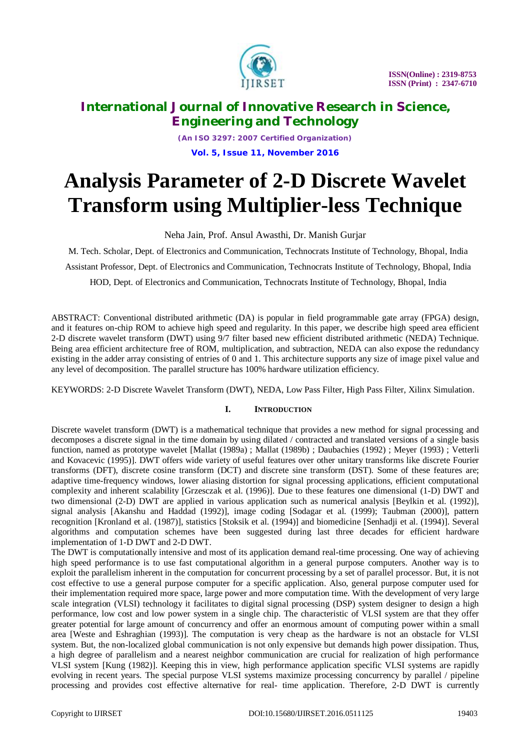

*(An ISO 3297: 2007 Certified Organization)* **Vol. 5, Issue 11, November 2016**

# **Analysis Parameter of 2-D Discrete Wavelet Transform using Multiplier-less Technique**

Neha Jain, Prof. Ansul Awasthi, Dr. Manish Gurjar

M. Tech. Scholar, Dept. of Electronics and Communication, Technocrats Institute of Technology, Bhopal, India Assistant Professor, Dept. of Electronics and Communication, Technocrats Institute of Technology, Bhopal, India HOD, Dept. of Electronics and Communication, Technocrats Institute of Technology, Bhopal, India

ABSTRACT: Conventional distributed arithmetic (DA) is popular in field programmable gate array (FPGA) design, and it features on-chip ROM to achieve high speed and regularity. In this paper, we describe high speed area efficient 2-D discrete wavelet transform (DWT) using 9/7 filter based new efficient distributed arithmetic (NEDA) Technique. Being area efficient architecture free of ROM, multiplication, and subtraction, NEDA can also expose the redundancy existing in the adder array consisting of entries of 0 and 1. This architecture supports any size of image pixel value and any level of decomposition. The parallel structure has 100% hardware utilization efficiency.

KEYWORDS: 2-D Discrete Wavelet Transform (DWT), NEDA, Low Pass Filter, High Pass Filter, Xilinx Simulation.

#### **I. INTRODUCTION**

Discrete wavelet transform (DWT) is a mathematical technique that provides a new method for signal processing and decomposes a discrete signal in the time domain by using dilated / contracted and translated versions of a single basis function, named as prototype wavelet [Mallat (1989a) ; Mallat (1989b) ; Daubachies (1992) ; Meyer (1993) ; Vetterli and Kovacevic (1995)]. DWT offers wide variety of useful features over other unitary transforms like discrete Fourier transforms (DFT), discrete cosine transform (DCT) and discrete sine transform (DST). Some of these features are; adaptive time-frequency windows, lower aliasing distortion for signal processing applications, efficient computational complexity and inherent scalability [Grzesczak et al. (1996)]. Due to these features one dimensional (1-D) DWT and two dimensional (2-D) DWT are applied in various application such as numerical analysis [Beylkin et al. (1992)], signal analysis [Akanshu and Haddad (1992)], image coding [Sodagar et al. (1999); Taubman (2000)], pattern recognition [Kronland et al. (1987)], statistics [Stoksik et al. (1994)] and biomedicine [Senhadji et al. (1994)]. Several algorithms and computation schemes have been suggested during last three decades for efficient hardware implementation of 1-D DWT and 2-D DWT.

The DWT is computationally intensive and most of its application demand real-time processing. One way of achieving high speed performance is to use fast computational algorithm in a general purpose computers. Another way is to exploit the parallelism inherent in the computation for concurrent processing by a set of parallel processor. But, it is not cost effective to use a general purpose computer for a specific application. Also, general purpose computer used for their implementation required more space, large power and more computation time. With the development of very large scale integration (VLSI) technology it facilitates to digital signal processing (DSP) system designer to design a high performance, low cost and low power system in a single chip. The characteristic of VLSI system are that they offer greater potential for large amount of concurrency and offer an enormous amount of computing power within a small area [Weste and Eshraghian (1993)]. The computation is very cheap as the hardware is not an obstacle for VLSI system. But, the non-localized global communication is not only expensive but demands high power dissipation. Thus, a high degree of parallelism and a nearest neighbor communication are crucial for realization of high performance VLSI system [Kung (1982)]. Keeping this in view, high performance application specific VLSI systems are rapidly evolving in recent years. The special purpose VLSI systems maximize processing concurrency by parallel / pipeline processing and provides cost effective alternative for real- time application. Therefore, 2-D DWT is currently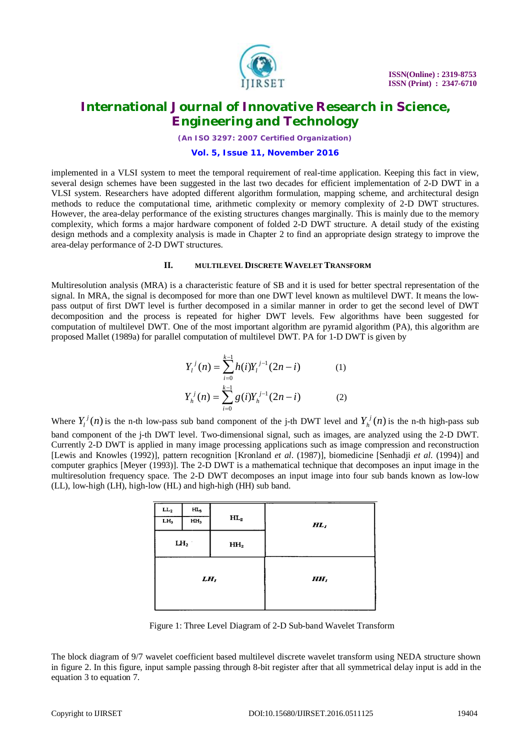

*(An ISO 3297: 2007 Certified Organization)*

#### **Vol. 5, Issue 11, November 2016**

implemented in a VLSI system to meet the temporal requirement of real-time application. Keeping this fact in view, several design schemes have been suggested in the last two decades for efficient implementation of 2-D DWT in a VLSI system. Researchers have adopted different algorithm formulation, mapping scheme, and architectural design methods to reduce the computational time, arithmetic complexity or memory complexity of 2-D DWT structures. However, the area-delay performance of the existing structures changes marginally. This is mainly due to the memory complexity, which forms a major hardware component of folded 2-D DWT structure. A detail study of the existing design methods and a complexity analysis is made in Chapter 2 to find an appropriate design strategy to improve the area-delay performance of 2-D DWT structures.

#### **II. MULTILEVEL DISCRETE WAVELET TRANSFORM**

Multiresolution analysis (MRA) is a characteristic feature of SB and it is used for better spectral representation of the signal. In MRA, the signal is decomposed for more than one DWT level known as multilevel DWT. It means the lowpass output of first DWT level is further decomposed in a similar manner in order to get the second level of DWT decomposition and the process is repeated for higher DWT levels. Few algorithms have been suggested for computation of multilevel DWT. One of the most important algorithm are pyramid algorithm (PA), this algorithm are proposed Mallet (1989a) for parallel computation of multilevel DWT. PA for 1-D DWT is given by

$$
Y_i^j(n) = \sum_{i=0}^{k-1} h(i) Y_i^{j-1}(2n-i)
$$
 (1)  

$$
Y_n^j(n) = \sum_{i=0}^{k-1} g(i) Y_n^{j-1}(2n-i)
$$
 (2)

Where  $Y_l^j(n)$  $V_l^j(n)$  is the n-th low-pass sub band component of the j-th DWT level and  $Y_h^j(n)$  $h_h^{\prime}(n)$  is the n-th high-pass sub band component of the j-th DWT level. Two-dimensional signal, such as images, are analyzed using the 2-D DWT. Currently 2-D DWT is applied in many image processing applications such as image compression and reconstruction [Lewis and Knowles (1992)], pattern recognition [Kronland *et al*. (1987)], biomedicine [Senhadji *et al*. (1994)] and computer graphics [Meyer (1993)]. The 2-D DWT is a mathematical technique that decomposes an input image in the multiresolution frequency space. The 2-D DWT decomposes an input image into four sub bands known as low-low (LL), low-high (LH), high-low (HL) and high-high (HH) sub band.

| $\mathbf{LL_{2}}$ | $HL_3$          |                 |        |
|-------------------|-----------------|-----------------|--------|
| LH <sub>3</sub>   | HH <sub>3</sub> | $HL_2$          | $HL_1$ |
|                   | $LH_2$          | HH <sub>2</sub> |        |
| $LH_I$            |                 |                 | $HH_I$ |

Figure 1: Three Level Diagram of 2-D Sub-band Wavelet Transform

The block diagram of 9/7 wavelet coefficient based multilevel discrete wavelet transform using NEDA structure shown in figure 2. In this figure, input sample passing through 8-bit register after that all symmetrical delay input is add in the equation 3 to equation 7.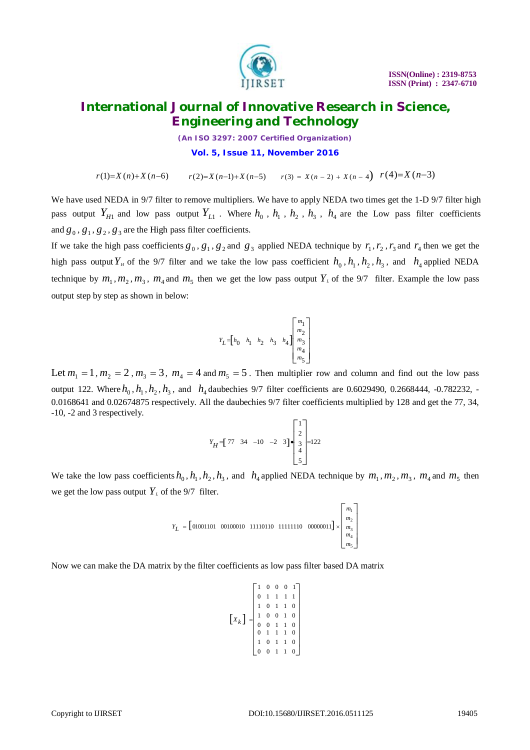

*(An ISO 3297: 2007 Certified Organization)* **Vol. 5, Issue 11, November 2016**

 $r(1)=X(n)+X(n-6)$   $r(2)=X(n-1)+X(n-5)$   $r(3)=X(n-2)+X(n-4)$   $r(4)=X(n-3)$ 

We have used NEDA in 9/7 filter to remove multipliers. We have to apply NEDA two times get the 1-D 9/7 filter high pass output  $Y_{H1}$  and low pass output  $Y_{L1}$ . Where  $h_0$ ,  $h_1$ ,  $h_2$ ,  $h_3$ ,  $h_4$  are the Low pass filter coefficients and  $g_0$ ,  $g_1$ ,  $g_2$ ,  $g_3$  are the High pass filter coefficients.

If we take the high pass coefficients  $g_0$ ,  $g_1$ ,  $g_2$  and  $g_3$  applied NEDA technique by  $r_1$ ,  $r_2$ ,  $r_3$  and  $r_4$  then we get the high pass output  $Y_H$  of the 9/7 filter and we take the low pass coefficient  $h_0$ ,  $h_1$ ,  $h_2$ ,  $h_3$ , and  $h_4$  applied NEDA technique by  $m_1, m_2, m_3, m_4$  and  $m_5$  then we get the low pass output  $Y_L$  of the 9/7 filter. Example the low pass output step by step as shown in below:

$$
Y_L\!=\!\!\begin{bmatrix}h_0&\!h_1&\!h_2&\!h_3&\!h_4\end{bmatrix}\!\!\left[\begin{matrix}m_1\\m_2\\m_3\\m_4\\m_5\end{matrix}\right]
$$

Let  $m_1 = 1$ ,  $m_2 = 2$ ,  $m_3 = 3$ ,  $m_4 = 4$  and  $m_5 = 5$ . Then multiplier row and column and find out the low pass output 122. Where  $h_0$ ,  $h_1$ ,  $h_2$ ,  $h_3$ , and  $h_4$  daubechies 9/7 filter coefficients are 0.6029490, 0.2668444, -0.782232, -0.0168641 and 0.02674875 respectively. All the daubechies 9/7 filter coefficients multiplied by 128 and get the 77, 34, -10, -2 and 3 respectively.

$$
Y_H = \begin{bmatrix} 77 & 34 & -10 & -2 & 3 \end{bmatrix} \bullet \begin{bmatrix} 1 \\ 2 \\ 3 \\ 4 \\ 5 \end{bmatrix} = 122
$$

We take the low pass coefficients  $h_0$ ,  $h_1$ ,  $h_2$ ,  $h_3$ , and  $h_4$  applied NEDA technique by  $m_1$ ,  $m_2$ ,  $m_3$ ,  $m_4$  and  $m_5$  then we get the low pass output  $Y_L$  of the 9/7 filter.

$$
Y_L = \begin{bmatrix} 01001101 & 00100010 & 11110110 & 11111110 & 00000011 \end{bmatrix} \times \begin{bmatrix} m_1 \\ m_2 \\ m_3 \\ m_4 \\ m_5 \end{bmatrix}
$$

Now we can make the DA matrix by the filter coefficients as low pass filter based DA matrix

$$
\begin{bmatrix} X_k \end{bmatrix} = \begin{bmatrix} 1 & 0 & 0 & 0 & 1 \\ 0 & 1 & 1 & 1 & 1 \\ 1 & 0 & 1 & 1 & 0 \\ 1 & 0 & 0 & 1 & 0 \\ 0 & 0 & 1 & 1 & 0 \\ 0 & 1 & 1 & 1 & 0 \\ 1 & 0 & 1 & 1 & 0 \\ 0 & 0 & 1 & 1 & 0 \end{bmatrix}
$$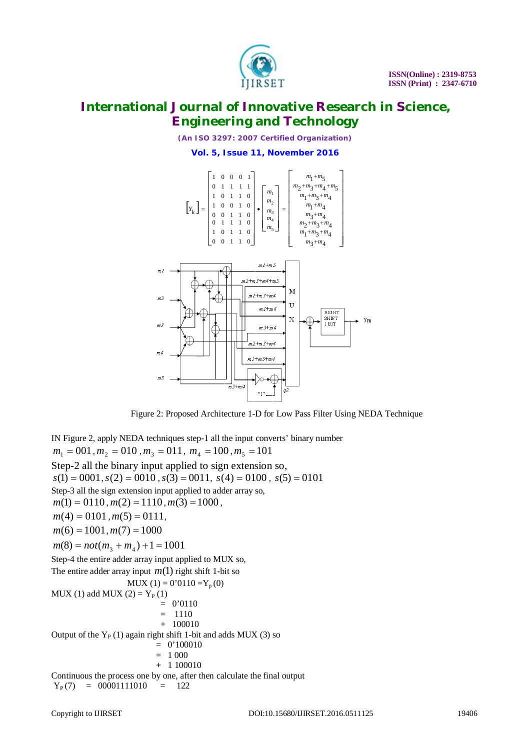

*(An ISO 3297: 2007 Certified Organization)* **Vol. 5, Issue 11, November 2016**



Figure 2: Proposed Architecture 1-D for Low Pass Filter Using NEDA Technique

IN Figure 2, apply NEDA techniques step-1 all the input converts' binary number  $m_1 = 001, m_2 = 010, m_3 = 011, m_4 = 100, m_5 = 101$ Step-2 all the binary input applied to sign extension so,  $s(1) = 0001, s(2) = 0010, s(3) = 0011, s(4) = 0100, s(5) = 0101$ Step-3 all the sign extension input applied to adder array so,  $m(1) = 0110$ ,  $m(2) = 1110$ ,  $m(3) = 1000$ ,  $m(4) = 0101$ ,  $m(5) = 0111$ ,  $m(6) = 1001, m(7) = 1000$  $m(8) = not(m_3 + m_4) + 1 = 1001$ Step-4 the entire adder array input applied to MUX so, The entire adder array input  $m(1)$  right shift 1-bit so  $MUX(1) = 0'0110 = Y_p(0)$  $MUX(1)$  add  $MUX(2) = Y<sub>P</sub>(1)$  $= 0'0110$  $= 1110$  + 100010 Output of the  $Y_P(1)$  again right shift 1-bit and adds MUX (3) so  $= 0'100010$  $= 1000$  **+** 1 100010 Continuous the process one by one, after then calculate the final output  $Y_P(7) = 00001111010 = 122$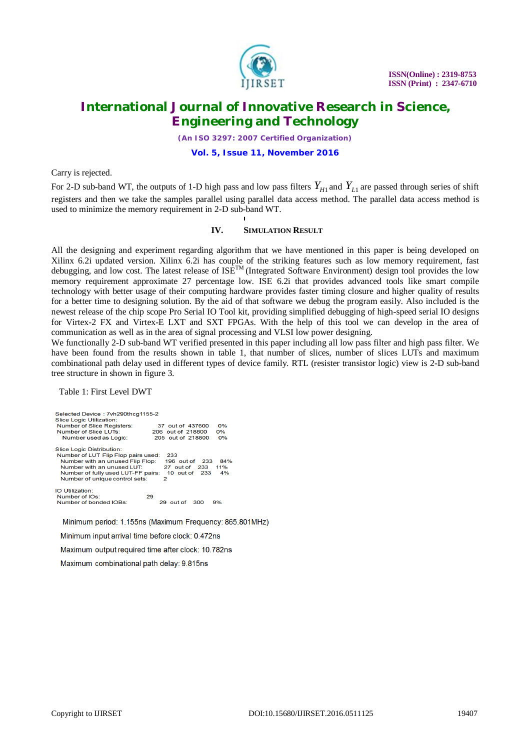

*(An ISO 3297: 2007 Certified Organization)*

**Vol. 5, Issue 11, November 2016**

Carry is rejected.

For 2-D sub-band WT, the outputs of 1-D high pass and low pass filters  $Y_{H1}$  and  $Y_{L1}$  are passed through series of shift registers and then we take the samples parallel using parallel data access method. The parallel data access method is used to minimize the memory requirement in 2-D sub-band WT.

#### **IV. SIMULATION RESULT**

All the designing and experiment regarding algorithm that we have mentioned in this paper is being developed on Xilinx 6.2i updated version. Xilinx 6.2i has couple of the striking features such as low memory requirement, fast debugging, and low cost. The latest release of  $ISE^{TM}$  (Integrated Software Environment) design tool provides the low memory requirement approximate 27 percentage low. ISE 6.2i that provides advanced tools like smart compile technology with better usage of their computing hardware provides faster timing closure and higher quality of results for a better time to designing solution. By the aid of that software we debug the program easily. Also included is the newest release of the chip scope Pro Serial IO Tool kit, providing simplified debugging of high-speed serial IO designs for Virtex-2 FX and Virtex-E LXT and SXT FPGAs. With the help of this tool we can develop in the area of communication as well as in the area of signal processing and VLSI low power designing.

We functionally 2-D sub-band WT verified presented in this paper including all low pass filter and high pass filter. We have been found from the results shown in table 1, that number of slices, number of slices LUTs and maximum combinational path delay used in different types of device family. RTL (resister transistor logic) view is 2-D sub-band tree structure in shown in figure 3.

Table 1: First Level DWT

| Selected Device: 7vh290thcg1155-2<br>Slice Logic Utilization:<br>Number of Slice Registers:<br>Number of Slice LUTs:<br>Number used as Logic:                                                                    | 0%<br>37 out of 437600<br>206 out of 218800<br>0%<br>0%<br>205 out of 218800                 |
|------------------------------------------------------------------------------------------------------------------------------------------------------------------------------------------------------------------|----------------------------------------------------------------------------------------------|
| <b>Slice Logic Distribution:</b><br>Number of LUT Flip Flop pairs used:<br>Number with an unused Flip Flop:<br>Number with an unused LUT<br>Number of fully used LUT-FF pairs:<br>Number of unique control sets: | 233<br>84%<br>$196$ out of<br>-233<br>11%<br>27 out of<br>233<br>10 out of<br>4%<br>233<br>2 |
| IO Utilization:<br>Number of IOs:<br>Number of bonded IOBs:                                                                                                                                                      | 29<br>out of<br>300<br>9%<br>29.                                                             |

Minimum period: 1.155ns (Maximum Frequency: 865.801MHz)

Minimum input arrival time before clock: 0.472ns

Maximum output required time after clock: 10.782ns

Maximum combinational path delay: 9.815ns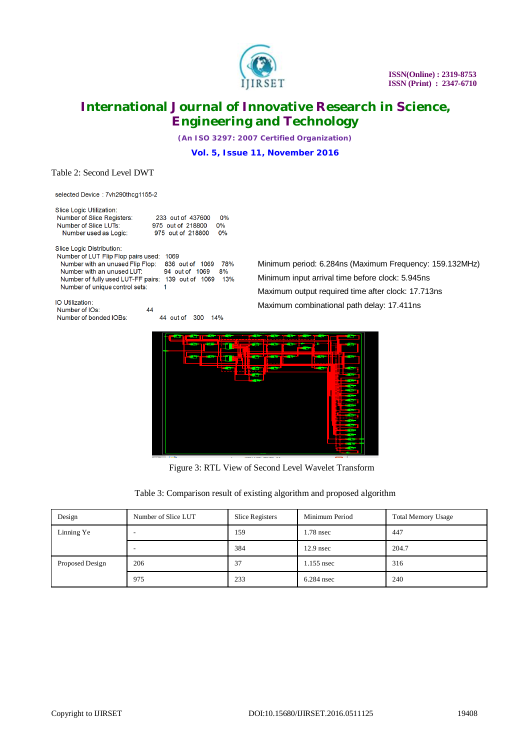

*(An ISO 3297: 2007 Certified Organization)* **Vol. 5, Issue 11, November 2016**

#### Table 2: Second Level DWT

selected Device: 7vh290thcg1155-2

| Slice Logic Utilization:            |                            |     |
|-------------------------------------|----------------------------|-----|
| Number of Slice Registers:          | 0%<br>233 out of 437600    |     |
| Number of Slice LUTs:               | $0\%$<br>975 out of 218800 |     |
| Number used as Logic:               | 0%<br>975 out of 218800    |     |
| Slice Logic Distribution:           |                            |     |
| Number of LUT Flip Flop pairs used: | 1069                       |     |
| Number with an unused Flip Flop:    | 836 out of<br>1069         | 78% |
| Number with an unused LUT:          | 94 out of 1069<br>8%       |     |
| Number of fully used LUT-FF pairs:  | 139 out of<br>1069         | 13% |
| Number of unique control sets:      | 1                          |     |
|                                     |                            |     |

IO Utilization: Number of IOs: Number of bonded IOBs:

 $44$ 44 out of 300 14%  Minimum period: 6.284ns (Maximum Frequency: 159.132MHz) Minimum input arrival time before clock: 5.945ns Maximum output required time after clock: 17.713ns Maximum combinational path delay: 17.411ns



Figure 3: RTL View of Second Level Wavelet Transform

| Table 3: Comparison result of existing algorithm and proposed algorithm |  |  |  |
|-------------------------------------------------------------------------|--|--|--|
|                                                                         |  |  |  |
|                                                                         |  |  |  |
|                                                                         |  |  |  |

| Design          | Number of Slice LUT      | Slice Registers | Minimum Period | <b>Total Memory Usage</b> |
|-----------------|--------------------------|-----------------|----------------|---------------------------|
| Linning Ye      | -                        | 159             | 1.78 nsec      | 447                       |
|                 | $\overline{\phantom{a}}$ | 384             | $12.9$ nsec    | 204.7                     |
| Proposed Design | 206                      | 37              | 1.155 nsec     | 316                       |
|                 | 975                      | 233             | $6.284$ nsec   | 240                       |